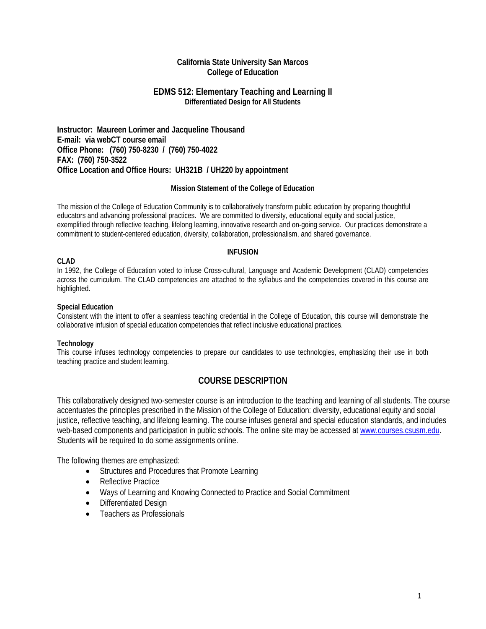## **California State University San Marcos College of Education**

### **EDMS 512: Elementary Teaching and Learning II Differentiated Design for All Students**

**Instructor: Maureen Lorimer and Jacqueline Thousand E-mail: via webCT course email Office Phone: (760) 750-8230 / (760) 750-4022 FAX: (760) 750-3522 Office Location and Office Hours: UH321B / UH220 by appointment**

### **Mission Statement of the College of Education**

The mission of the College of Education Community is to collaboratively transform public education by preparing thoughtful educators and advancing professional practices. We are committed to diversity, educational equity and social justice, exemplified through reflective teaching, lifelong learning, innovative research and on-going service. Our practices demonstrate a commitment to student-centered education, diversity, collaboration, professionalism, and shared governance.

#### **INFUSION**

### **CLAD**

In 1992, the College of Education voted to infuse Cross-cultural, Language and Academic Development (CLAD) competencies across the curriculum. The CLAD competencies are attached to the syllabus and the competencies covered in this course are highlighted.

#### **Special Education**

Consistent with the intent to offer a seamless teaching credential in the College of Education, this course will demonstrate the collaborative infusion of special education competencies that reflect inclusive educational practices.

### **Technology**

This course infuses technology competencies to prepare our candidates to use technologies, emphasizing their use in both teaching practice and student learning.

## **COURSE DESCRIPTION**

This collaboratively designed two-semester course is an introduction to the teaching and learning of all students. The course accentuates the principles prescribed in the Mission of the College of Education: diversity, educational equity and social justice, reflective teaching, and lifelong learning. The course infuses general and special education standards, and includes web-based components and participation in public schools. The online site may be accessed at [www.courses.csusm.edu.](http://www.courses.csusm.edu/) Students will be required to do some assignments online.

The following themes are emphasized:

- Structures and Procedures that Promote Learning
- Reflective Practice
- Ways of Learning and Knowing Connected to Practice and Social Commitment
- Differentiated Design
- Teachers as Professionals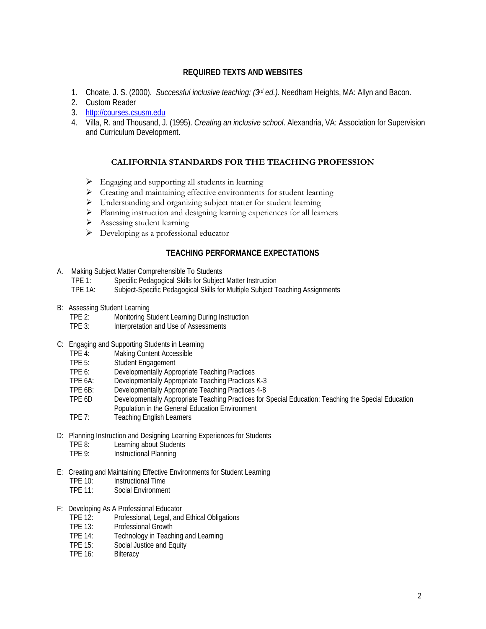# **REQUIRED TEXTS AND WEBSITES**

- 1. Choate, J. S. (2000). *Successful inclusive teaching: (3rd ed.).* Needham Heights, MA: Allyn and Bacon.
- 2. Custom Reader
- 3. [http://courses.csusm.edu](http://courses.csusm.edu/)
- 4. Villa, R. and Thousand, J. (1995). *Creating an inclusive school*. Alexandria, VA: Association for Supervision and Curriculum Development.

## **CALIFORNIA STANDARDS FOR THE TEACHING PROFESSION**

- Engaging and supporting all students in learning
- Creating and maintaining effective environments for student learning
- Understanding and organizing subject matter for student learning
- Planning instruction and designing learning experiences for all learners
- Assessing student learning
- $\triangleright$  Developing as a professional educator

### **TEACHING PERFORMANCE EXPECTATIONS**

- A. Making Subject Matter Comprehensible To Students
	- TPE 1: Specific Pedagogical Skills for Subject Matter Instruction
	- Subject-Specific Pedagogical Skills for Multiple Subject Teaching Assignments
- B: Assessing Student Learning
	- TPE 2: Monitoring Student Learning During Instruction
	- TPE 3: Interpretation and Use of Assessments
- C: Engaging and Supporting Students in Learning<br>TPE 4: Making Content Accessible
	- TPE 4: Making Content Accessible<br>TPE 5: Student Engagement
	- TPE 5: Student Engagement<br>TPE 6: Developmentally Appr
	- TPE 6: Developmentally Appropriate Teaching Practices<br>TPE 6A: Developmentally Appropriate Teaching Practices
	- TPE 6A: Developmentally Appropriate Teaching Practices K-3<br>TPE 6B: Developmentally Appropriate Teaching Practices 4-8
	- TPE 6B: Developmentally Appropriate Teaching Practices 4-8<br>TPE 6D Developmentally Appropriate Teaching Practices for 1
	- Developmentally Appropriate Teaching Practices for Special Education: Teaching the Special Education Population in the General Education Environment
	- TPE 7: Teaching English Learners
- D: Planning Instruction and Designing Learning Experiences for Students
	- TPE 8: Learning about Students<br>TPE 9: Instructional Planning
	- Instructional Planning
- E: Creating and Maintaining Effective Environments for Student Learning<br>
TPE 10: Instructional Time
	- TPE 10: Instructional Time<br>TPE 11: Social Environmer
	- Social Environment
- F: Developing As A Professional Educator
	- TPE 12: Professional, Legal, and Ethical Obligations
	- TPE 13: Professional Growth
	- TPE 14: Technology in Teaching and Learning
	- TPE 15: Social Justice and Equity
	- TPE 16: Bilteracy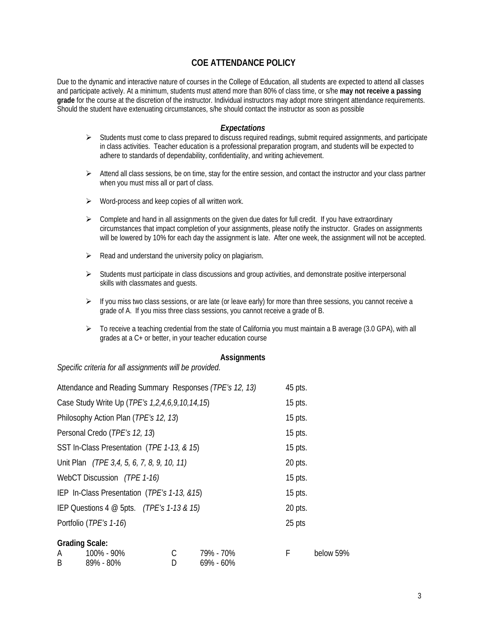# **COE ATTENDANCE POLICY**

Due to the dynamic and interactive nature of courses in the College of Education, all students are expected to attend all classes and participate actively. At a minimum, students must attend more than 80% of class time, or s/he **may not receive a passing grade** for the course at the discretion of the instructor. Individual instructors may adopt more stringent attendance requirements. Should the student have extenuating circumstances, s/he should contact the instructor as soon as possible

### *Expectations*

- $\triangleright$  Students must come to class prepared to discuss required readings, submit required assignments, and participate in class activities. Teacher education is a professional preparation program, and students will be expected to adhere to standards of dependability, confidentiality, and writing achievement.
- $\triangleright$  Attend all class sessions, be on time, stay for the entire session, and contact the instructor and your class partner when you must miss all or part of class.
- $\triangleright$  Word-process and keep copies of all written work.
- $\triangleright$  Complete and hand in all assignments on the given due dates for full credit. If you have extraordinary circumstances that impact completion of your assignments, please notify the instructor. Grades on assignments will be lowered by 10% for each day the assignment is late. After one week, the assignment will not be accepted.
- $\triangleright$  Read and understand the university policy on plagiarism.
- $\triangleright$  Students must participate in class discussions and group activities, and demonstrate positive interpersonal skills with classmates and guests.
- $\triangleright$  If you miss two class sessions, or are late (or leave early) for more than three sessions, you cannot receive a grade of A. If you miss three class sessions, you cannot receive a grade of B.
- $\triangleright$  To receive a teaching credential from the state of California you must maintain a B average (3.0 GPA), with all grades at a C+ or better, in your teacher education course

### **Assignments**

*Specific criteria for all assignments will be provided.*

| Attendance and Reading Summary Responses (TPE's 12, 13)            |   |           | 45 pts. |           |
|--------------------------------------------------------------------|---|-----------|---------|-----------|
| Case Study Write Up (TPE's 1,2,4,6,9,10,14,15)                     |   | $15$ pts. |         |           |
| Philosophy Action Plan ( <i>TPE's 12, 13</i> )                     |   | $15$ pts. |         |           |
| Personal Credo (TPE's 12, 13)                                      |   | $15$ pts. |         |           |
| SST In-Class Presentation (TPE 1-13, & 15)                         |   | $15$ pts. |         |           |
| Unit Plan (TPE 3,4, 5, 6, 7, 8, 9, 10, 11)                         |   | 20 pts.   |         |           |
| WebCT Discussion (TPE 1-16)                                        |   | $15$ pts. |         |           |
| IEP In-Class Presentation (TPE's 1-13, &15)                        |   | $15$ pts. |         |           |
| IEP Questions $4 \text{ } \textcircled{a}$ 5pts. (TPE's 1-13 & 15) |   |           | 20 pts. |           |
| Portfolio (TPE's 1-16)                                             |   |           | 25 pts  |           |
| <b>Grading Scale:</b>                                              |   |           |         |           |
| 100% - 90%<br>A                                                    | С | 79% - 70% | F       | below 59% |
| B.<br>89% - 80%                                                    | D | 69% - 60% |         |           |